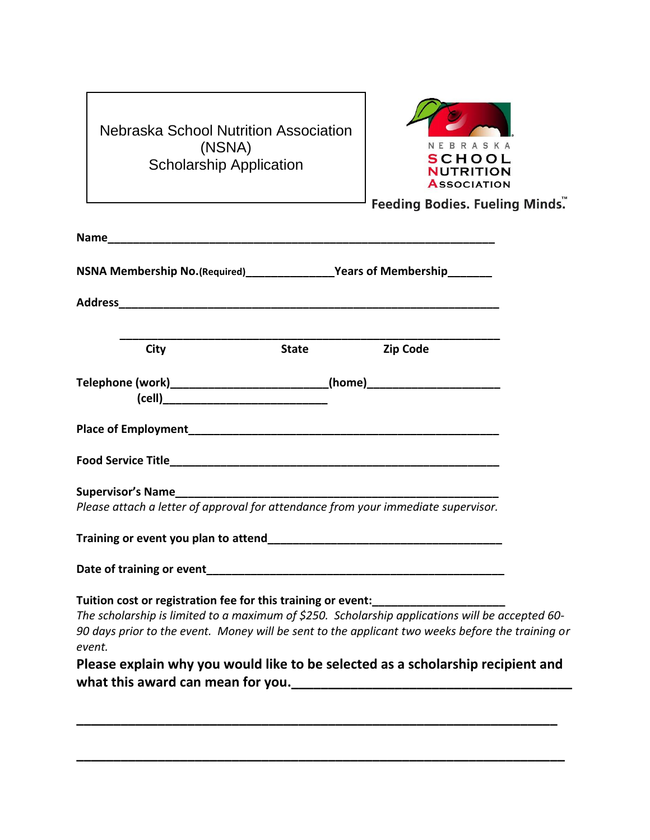| Nebraska School Nutrition Association |
|---------------------------------------|
| (NSNA)                                |
| <b>Scholarship Application</b>        |



Feeding Bodies. Fueling Minds."

| Name and the contract of the contract of the contract of the contract of the contract of the contract of the contract of the contract of the contract of the contract of the contract of the contract of the contract of the c                                                                                                                                   |              |                 |  |
|------------------------------------------------------------------------------------------------------------------------------------------------------------------------------------------------------------------------------------------------------------------------------------------------------------------------------------------------------------------|--------------|-----------------|--|
| NSNA Membership No.(Required)_________________Years of Membership_________                                                                                                                                                                                                                                                                                       |              |                 |  |
|                                                                                                                                                                                                                                                                                                                                                                  |              |                 |  |
| City                                                                                                                                                                                                                                                                                                                                                             | <b>State</b> | <b>Zip Code</b> |  |
| Telephone (work)____________________________(home)______________________________                                                                                                                                                                                                                                                                                 |              |                 |  |
|                                                                                                                                                                                                                                                                                                                                                                  |              |                 |  |
|                                                                                                                                                                                                                                                                                                                                                                  |              |                 |  |
| Please attach a letter of approval for attendance from your immediate supervisor.                                                                                                                                                                                                                                                                                |              |                 |  |
|                                                                                                                                                                                                                                                                                                                                                                  |              |                 |  |
|                                                                                                                                                                                                                                                                                                                                                                  |              |                 |  |
| Tuition cost or registration fee for this training or event:<br>The scholarship is limited to a maximum of \$250. Scholarship applications will be accepted 60-<br>90 days prior to the event. Money will be sent to the applicant two weeks before the training or<br>event.<br>Please explain why you would like to be selected as a scholarship recipient and |              |                 |  |

**\_\_\_\_\_\_\_\_\_\_\_\_\_\_\_\_\_\_\_\_\_\_\_\_\_\_\_\_\_\_\_\_\_\_\_\_\_\_\_\_\_\_\_\_\_\_\_\_\_\_\_\_\_\_\_\_\_\_\_\_\_\_\_\_\_**

**\_\_\_\_\_\_\_\_\_\_\_\_\_\_\_\_\_\_\_\_\_\_\_\_\_\_\_\_\_\_\_\_\_\_\_\_\_\_\_\_\_\_\_\_\_\_\_\_\_\_\_\_\_\_\_\_\_\_\_\_\_\_\_\_\_\_**